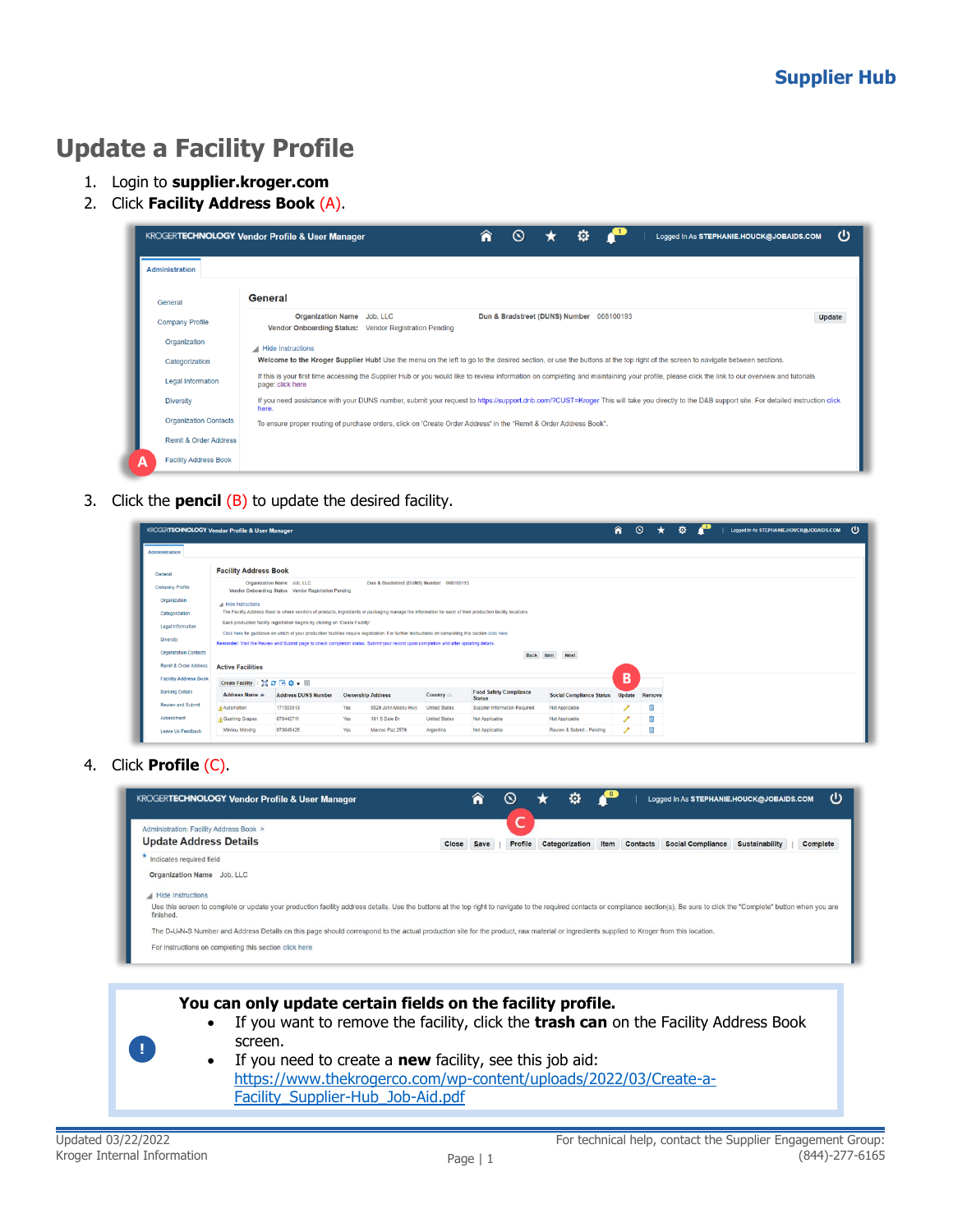## **Update a Facility Profile**

- 1. Login to **supplier.kroger.com**
- 2. Click **Facility Address Book** (A).

|                                   | o<br>ധ<br>Â<br><b>KROGERTECHNOLOGY Vendor Profile &amp; User Manager</b><br>$\infty$<br>Logged In As STEPHANIE.HOUCK@JOBAIDS.COM                                                                                  |
|-----------------------------------|-------------------------------------------------------------------------------------------------------------------------------------------------------------------------------------------------------------------|
| <b>Administration</b>             |                                                                                                                                                                                                                   |
| General                           | General                                                                                                                                                                                                           |
| <b>Company Profile</b>            | Organization Name Job, LLC<br>Dun & Bradstreet (DUNS) Number 068100193<br>Update<br>Vendor Onboarding Status: Vendor Registration Pending                                                                         |
| Organization                      | Hide Instructions                                                                                                                                                                                                 |
| Categorization                    | Welcome to the Kroger Supplier Hub! Use the menu on the left to go to the desired section, or use the buttons at the top right of the screen to navigate between sections.                                        |
| <b>Legal Information</b>          | If this is your first time accessing the Supplier Hub or you would like to review information on completing and maintaining your profile, please click the link to our overview and tutorials<br>page: click here |
| <b>Diversity</b>                  | If you need assistance with your DUNS number, submit your request to https://support.dnb.com/?CUST=Kroger This will take you directly to the D&B support site. For detailed instruction click<br>here.            |
| <b>Organization Contacts</b>      | To ensure proper routing of purchase orders, click on 'Create Order Address' in the "Remit & Order Address Book".                                                                                                 |
| <b>Remit &amp; Order Address</b>  |                                                                                                                                                                                                                   |
| <b>Facility Address Book</b><br>А |                                                                                                                                                                                                                   |

3. Click the **pencil** (B) to update the desired facility.

|                              | <b>KROGERTECHNOLOGY Vendor Profile &amp; User Manager</b>                                                                      |                                                                                                                                                                                                                                                                                              |                          |                     |                      |                               |                                 | â             | $\circ$<br>* | Ø. | Logged In As STEPHANIE.HOUCK@JOBAIDS.COM |  |
|------------------------------|--------------------------------------------------------------------------------------------------------------------------------|----------------------------------------------------------------------------------------------------------------------------------------------------------------------------------------------------------------------------------------------------------------------------------------------|--------------------------|---------------------|----------------------|-------------------------------|---------------------------------|---------------|--------------|----|------------------------------------------|--|
| <b>Administration</b>        |                                                                                                                                |                                                                                                                                                                                                                                                                                              |                          |                     |                      |                               |                                 |               |              |    |                                          |  |
| General                      | <b>Facility Address Book</b>                                                                                                   |                                                                                                                                                                                                                                                                                              |                          |                     |                      |                               |                                 |               |              |    |                                          |  |
| Company Profile              | Organization Name Job, LLC<br>Dun & Bradstreet (DUNS) Number 068100193<br>Vendor Onboarding Status Vendor Registration Pending |                                                                                                                                                                                                                                                                                              |                          |                     |                      |                               |                                 |               |              |    |                                          |  |
| Organization                 | All Hide Instructions                                                                                                          |                                                                                                                                                                                                                                                                                              |                          |                     |                      |                               |                                 |               |              |    |                                          |  |
| Categorization               |                                                                                                                                | The Facility Address Book is where vendors of products, ingredients or packaging manage the information for each of their production facility locations.                                                                                                                                     |                          |                     |                      |                               |                                 |               |              |    |                                          |  |
| Legal Information            |                                                                                                                                | Each production facility registration begins by clicking on 'Create Facility'.                                                                                                                                                                                                               |                          |                     |                      |                               |                                 |               |              |    |                                          |  |
| Diversity                    |                                                                                                                                | Click here for guidance on which of your production facilities require registration. For further instructions on completing this section click here<br>Reminder: Visit the Review and Submit page to check completion status. Submit your record upon completion and after updating details. |                          |                     |                      |                               |                                 |               |              |    |                                          |  |
| <b>Organization Contacts</b> |                                                                                                                                |                                                                                                                                                                                                                                                                                              |                          |                     |                      | Back                          | Item<br><b>Next</b>             |               |              |    |                                          |  |
| Remit & Order Address        | <b>Active Facilities</b>                                                                                                       |                                                                                                                                                                                                                                                                                              |                          |                     |                      |                               |                                 |               |              |    |                                          |  |
| <b>Facility Address Book</b> | Create Facility   23 2 回 杂 - Ⅲ                                                                                                 |                                                                                                                                                                                                                                                                                              |                          |                     |                      |                               |                                 | B             |              |    |                                          |  |
|                              |                                                                                                                                |                                                                                                                                                                                                                                                                                              |                          |                     | Country $\triangle$  | <b>Food Safety Compliance</b> | <b>Social Compliance Status</b> | <b>Update</b> | Remove       |    |                                          |  |
| <b>Banking Details</b>       | <b>Address Name A</b>                                                                                                          | <b>Address DUNS Number</b>                                                                                                                                                                                                                                                                   | <b>Ownership Address</b> |                     |                      | <b>Status</b>                 |                                 |               |              |    |                                          |  |
| Review and Submit            | Automation                                                                                                                     | 171503613                                                                                                                                                                                                                                                                                    | Yes                      | 6529 John Mosby Hwy | <b>United States</b> | Supplier Information Required | Not Applicable                  |               | Ĥ            |    |                                          |  |
| Assessment                   | Gushing Grapes                                                                                                                 | 876442711                                                                                                                                                                                                                                                                                    | Yes                      | 101 S Dale Dr       | <b>United States</b> | Not Applicable                | Not Applicable                  | Í             | Ĥ            |    |                                          |  |

4. Click **Profile** (C).

| <b>KROGERTECHNOLOGY Vendor Profile &amp; User Manager</b>                                                                                                                                                                                   |       | ⋒    |         | o              |               | Logged In As STEPHANIE.HOUCK@JOBAIDS.COM |                       |          | ധ |
|---------------------------------------------------------------------------------------------------------------------------------------------------------------------------------------------------------------------------------------------|-------|------|---------|----------------|---------------|------------------------------------------|-----------------------|----------|---|
| Administration: Facility Address Book ><br><b>Update Address Details</b>                                                                                                                                                                    | Close | Save | Profile | Categorization | Item Contacts | <b>Social Compliance</b>                 | <b>Sustainability</b> | Complete |   |
| Indicates required field                                                                                                                                                                                                                    |       |      |         |                |               |                                          |                       |          |   |
| Organization Name Job. LLC                                                                                                                                                                                                                  |       |      |         |                |               |                                          |                       |          |   |
| Hide Instructions                                                                                                                                                                                                                           |       |      |         |                |               |                                          |                       |          |   |
| Use this screen to complete or update your production facility address details. Use the buttons at the top right to navigate to the required contacts or compliance section(s). Be sure to click the "Complete" button when yo<br>finished. |       |      |         |                |               |                                          |                       |          |   |
| The D-U-N-S Number and Address Details on this page should correspond to the actual production site for the product, raw material or ingredients supplied to Kroger from this location.                                                     |       |      |         |                |               |                                          |                       |          |   |
| For instructions on completing this section click here                                                                                                                                                                                      |       |      |         |                |               |                                          |                       |          |   |
|                                                                                                                                                                                                                                             |       |      |         |                |               |                                          |                       |          |   |



- **You can only update certain fields on the facility profile.** 
	- If you want to remove the facility, click the **trash can** on the Facility Address Book screen.
	- If you need to create a **new** facility, see this job aid: [https://www.thekrogerco.com/wp-content/uploads/2022/03/Create-a-](https://www.thekrogerco.com/wp-content/uploads/2022/03/Create-a-Facility_Supplier-Hub_Job-Aid.pdf)[Facility\\_Supplier-Hub\\_Job-Aid.pdf](https://www.thekrogerco.com/wp-content/uploads/2022/03/Create-a-Facility_Supplier-Hub_Job-Aid.pdf)

**!**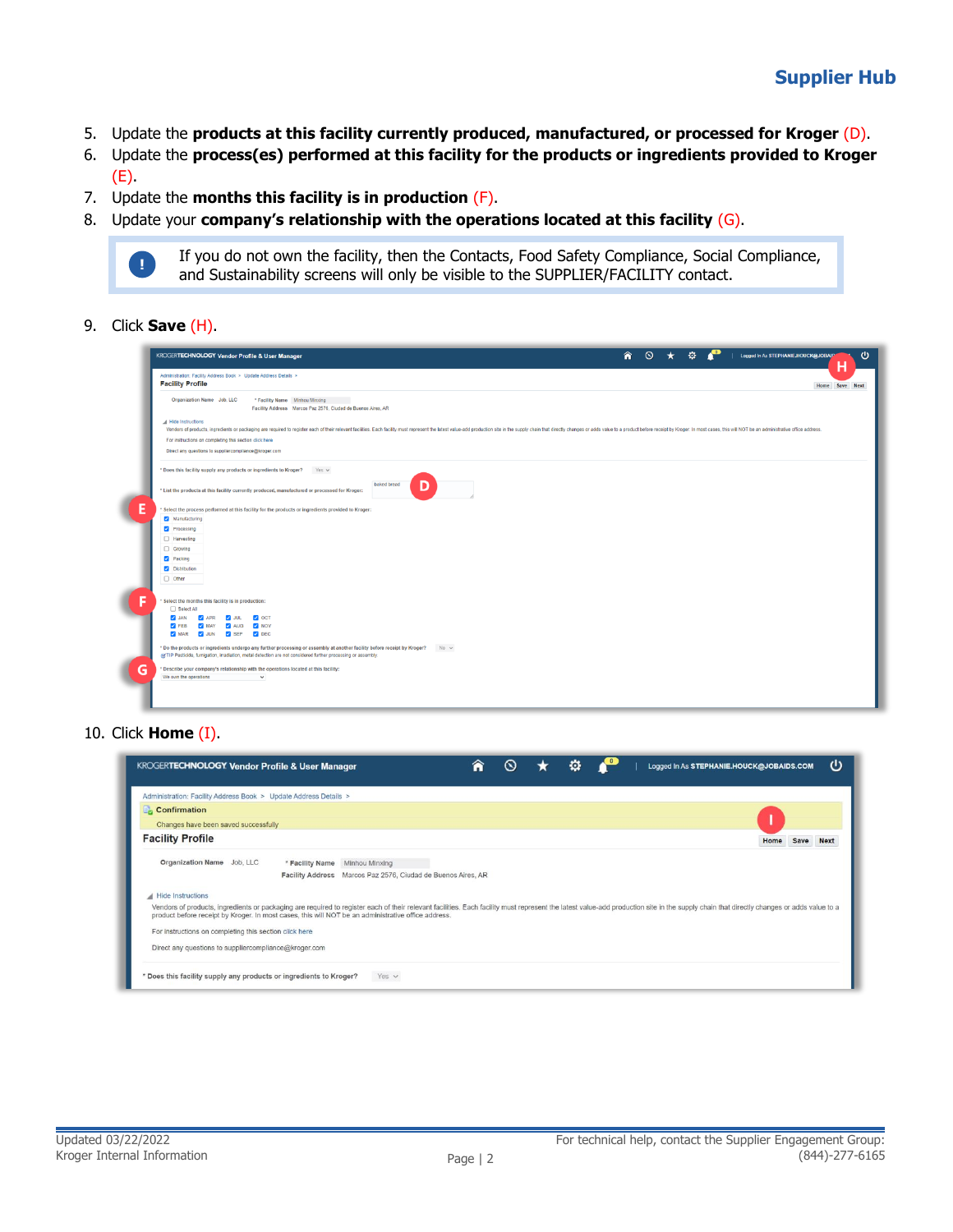- 5. Update the **products at this facility currently produced, manufactured, or processed for Kroger** (D).
- 6. Update the **process(es) performed at this facility for the products or ingredients provided to Kroger**  $(E)$ .
- 7. Update the **months this facility is in production** (F).
- 8. Update your **company's relationship with the operations located at this facility** (G).



9. Click **Save** (H).

| <b>Facility Profile</b>                                                                                         | Administration: Facility Address Book > Update Address Details >                                                                    |                                                                                                                                                                                                                                |  | н<br>Home Save Next |
|-----------------------------------------------------------------------------------------------------------------|-------------------------------------------------------------------------------------------------------------------------------------|--------------------------------------------------------------------------------------------------------------------------------------------------------------------------------------------------------------------------------|--|---------------------|
| Organization Name Job. LLC                                                                                      | * Facility Name Minhou Minxing<br>Facility Address Marcos Paz 2576, Ciudad de Buenos Aires, AR                                      |                                                                                                                                                                                                                                |  |                     |
| A Hide Instructions                                                                                             |                                                                                                                                     | Vendors of products, ingredients or packaging are required to register each of their relevant facilities. Each facilities. Each facility must represent the latest value-add production site in the supply chain that directly |  |                     |
| For instructions on completing this section click here<br>Direct any questions to suppliercompliance@kroger.com |                                                                                                                                     |                                                                                                                                                                                                                                |  |                     |
|                                                                                                                 | * Does this facility supply any products or ingredients to Kroger? Yes                                                              |                                                                                                                                                                                                                                |  |                     |
|                                                                                                                 | * List the products at this facility currently produced, manufactured or processed for Kroger:                                      | baked bread<br>D                                                                                                                                                                                                               |  |                     |
|                                                                                                                 | Select the process performed at this facility for the products or ingredients provided to Kroger:                                   |                                                                                                                                                                                                                                |  |                     |
| Manufacturing                                                                                                   |                                                                                                                                     |                                                                                                                                                                                                                                |  |                     |
| Processing                                                                                                      |                                                                                                                                     |                                                                                                                                                                                                                                |  |                     |
| Harvesting                                                                                                      |                                                                                                                                     |                                                                                                                                                                                                                                |  |                     |
| □ Growing                                                                                                       |                                                                                                                                     |                                                                                                                                                                                                                                |  |                     |
| Packing                                                                                                         |                                                                                                                                     |                                                                                                                                                                                                                                |  |                     |
| Distribution<br>$\Box$ Other                                                                                    |                                                                                                                                     |                                                                                                                                                                                                                                |  |                     |
|                                                                                                                 |                                                                                                                                     |                                                                                                                                                                                                                                |  |                     |
|                                                                                                                 |                                                                                                                                     |                                                                                                                                                                                                                                |  |                     |
| Select the months this facility is in production:<br>□ Select All                                               |                                                                                                                                     |                                                                                                                                                                                                                                |  |                     |
| <b>VAL</b><br>$\sqrt{ }$ APR                                                                                    | JUL V OCT                                                                                                                           |                                                                                                                                                                                                                                |  |                     |
| $\triangleright$ FEB<br><b>Z</b> MAY                                                                            | AUG V NOV                                                                                                                           |                                                                                                                                                                                                                                |  |                     |
| V MAR V JUN V SEP V DEC                                                                                         |                                                                                                                                     |                                                                                                                                                                                                                                |  |                     |
|                                                                                                                 | * Do the products or ingredients undergo any further processing or assembly at another facility before receipt by Kroger? No $\vee$ |                                                                                                                                                                                                                                |  |                     |
|                                                                                                                 | of TIP Pesticide, fumigation, irradiation, metal detection are not considered further processing or assembly.                       |                                                                                                                                                                                                                                |  |                     |
|                                                                                                                 | * Describe your company's relationship with the operations located at this facility:                                                |                                                                                                                                                                                                                                |  |                     |
| We own the operations                                                                                           | $\checkmark$                                                                                                                        |                                                                                                                                                                                                                                |  |                     |

10. Click **Home** (I).

| <b>KROGERTECHNOLOGY Vendor Profile &amp; User Manager</b>                                                                                                                                                                                                                                                                            | $\mathbf{\widetilde{N}}$ | o | Logged In As STEPHANIE.HOUCK@JOBAIDS.COM |      |      | υ           |
|--------------------------------------------------------------------------------------------------------------------------------------------------------------------------------------------------------------------------------------------------------------------------------------------------------------------------------------|--------------------------|---|------------------------------------------|------|------|-------------|
| Administration: Facility Address Book > Update Address Details >                                                                                                                                                                                                                                                                     |                          |   |                                          |      |      |             |
| <b>Confirmation</b>                                                                                                                                                                                                                                                                                                                  |                          |   |                                          |      |      |             |
| Changes have been saved successfully                                                                                                                                                                                                                                                                                                 |                          |   |                                          |      |      |             |
| <b>Facility Profile</b>                                                                                                                                                                                                                                                                                                              |                          |   |                                          | Home | Save | <b>Next</b> |
| Organization Name Job, LLC<br>* Facility Name Minhou Minxing<br>Facility Address Marcos Paz 2576, Ciudad de Buenos Aires, AR                                                                                                                                                                                                         |                          |   |                                          |      |      |             |
| Hide Instructions                                                                                                                                                                                                                                                                                                                    |                          |   |                                          |      |      |             |
| Vendors of products, ingredients or packaging are required to register each of their relevant facilities. Each facility must represent the latest value-add production site in the supply chain that directly changes or adds<br>product before receipt by Kroger. In most cases, this will NOT be an administrative office address. |                          |   |                                          |      |      |             |
| For instructions on completing this section click here                                                                                                                                                                                                                                                                               |                          |   |                                          |      |      |             |
| Direct any questions to suppliercompliance@kroger.com                                                                                                                                                                                                                                                                                |                          |   |                                          |      |      |             |
| * Does this facility supply any products or ingredients to Kroger?<br>Yes $\vee$                                                                                                                                                                                                                                                     |                          |   |                                          |      |      |             |